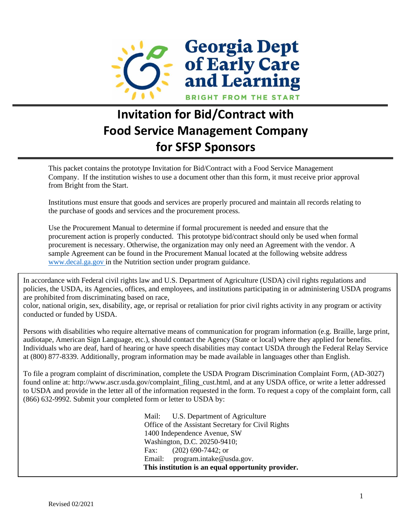

# **Invitation for Bid/Contract with Food Service Management Company for SFSP Sponsors**

This packet contains the prototype Invitation for Bid/Contract with a Food Service Management Company. If the institution wishes to use a document other than this form, it must receive prior approval from Bright from the Start.

Institutions must ensure that goods and services are properly procured and maintain all records relating to the purchase of goods and services and the procurement process.

Use the Procurement Manual to determine if formal procurement is needed and ensure that the procurement action is properly conducted. This prototype bid/contract should only be used when formal procurement is necessary. Otherwise, the organization may only need an Agreement with the vendor. A sample Agreement can be found in the Procurement Manual located at the following website address [www.decal.ga.gov i](http://www.decal.ga.gov/)n the Nutrition section under program guidance.

In accordance with Federal civil rights law and U.S. Department of Agriculture (USDA) civil rights regulations and policies, the USDA, its Agencies, offices, and employees, and institutions participating in or administering USDA programs are prohibited from discriminating based on race,

color, national origin, sex, disability, age, or reprisal or retaliation for prior civil rights activity in any program or activity conducted or funded by USDA.

Persons with disabilities who require alternative means of communication for program information (e.g. Braille, large print, audiotape, American Sign Language, etc.), should contact the Agency (State or local) where they applied for benefits. Individuals who are deaf, hard of hearing or have speech disabilities may contact USDA through the Federal Relay Service at (800) 877-8339. Additionally, program information may be made available in languages other than English.

To file a program complaint of discrimination, complete the USDA Program Discrimination Complaint Form, (AD-3027) found online at: http://www.ascr.usda.gov/complaint\_filing\_cust.html, and at any USDA office, or write a letter addressed to USDA and provide in the letter all of the information requested in the form. To request a copy of the complaint form, call (866) 632-9992. Submit your completed form or letter to USDA by:

> Mail: U.S. Department of Agriculture Office of the Assistant Secretary for Civil Rights 1400 Independence Avenue, SW Washington, D.C. 20250-9410; Fax: (202) 690-7442; or Email: program.intake@usda.gov. **This institution is an equal opportunity provider.**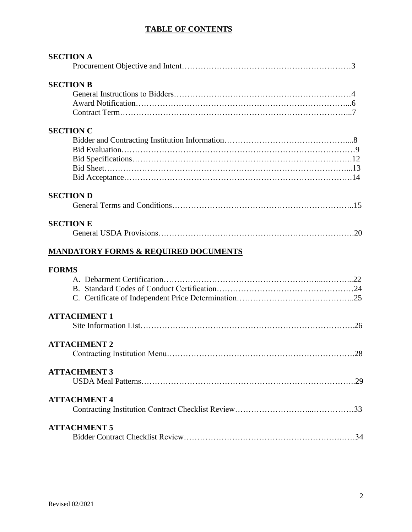#### **TABLE OF CONTENTS**

| <b>SECTION A</b>                                |      |
|-------------------------------------------------|------|
|                                                 |      |
| <b>SECTION B</b>                                |      |
|                                                 |      |
|                                                 |      |
|                                                 |      |
| <b>SECTION C</b>                                |      |
|                                                 |      |
|                                                 |      |
|                                                 |      |
|                                                 |      |
|                                                 |      |
| <b>SECTION D</b>                                |      |
|                                                 |      |
| <b>SECTION E</b>                                |      |
|                                                 |      |
|                                                 |      |
| <b>MANDATORY FORMS &amp; REQUIRED DOCUMENTS</b> |      |
| <b>FORMS</b>                                    |      |
|                                                 |      |
|                                                 |      |
|                                                 |      |
| <b>ATTACHMENT 1</b>                             |      |
|                                                 |      |
| <b>ATTACHMENT 2</b>                             |      |
|                                                 | . 28 |
| <b>ATTACHMENT 3</b>                             |      |
|                                                 |      |
| <b>ATTACHMENT 4</b>                             |      |
|                                                 |      |
| <b>ATTACHMENT 5</b>                             |      |
|                                                 |      |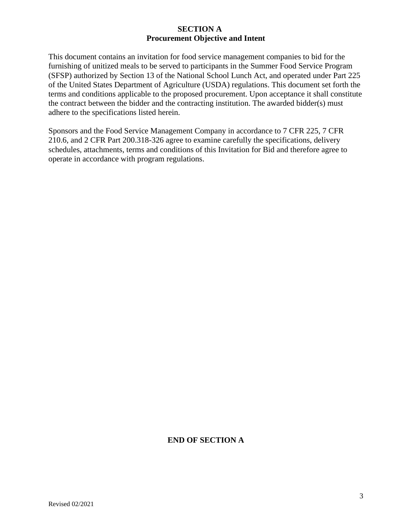#### **SECTION A Procurement Objective and Intent**

This document contains an invitation for food service management companies to bid for the furnishing of unitized meals to be served to participants in the Summer Food Service Program (SFSP) authorized by Section 13 of the National School Lunch Act, and operated under Part 225 of the United States Department of Agriculture (USDA) regulations. This document set forth the terms and conditions applicable to the proposed procurement. Upon acceptance it shall constitute the contract between the bidder and the contracting institution. The awarded bidder(s) must adhere to the specifications listed herein.

Sponsors and the Food Service Management Company in accordance to 7 CFR 225, 7 CFR 210.6, and 2 CFR Part 200.318-326 agree to examine carefully the specifications, delivery schedules, attachments, terms and conditions of this Invitation for Bid and therefore agree to operate in accordance with program regulations.

## **END OF SECTION A**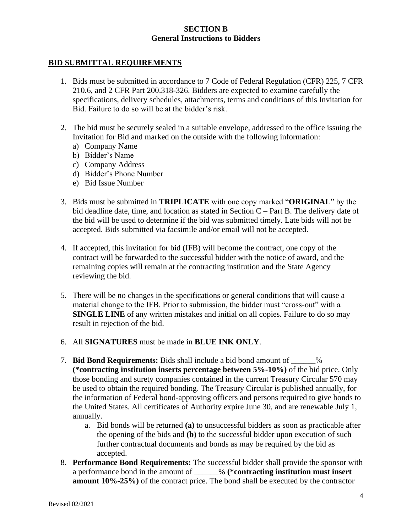#### **SECTION B General Instructions to Bidders**

#### **BID SUBMITTAL REQUIREMENTS**

- 1. Bids must be submitted in accordance to 7 Code of Federal Regulation (CFR) 225, 7 CFR 210.6, and 2 CFR Part 200.318-326. Bidders are expected to examine carefully the specifications, delivery schedules, attachments, terms and conditions of this Invitation for Bid. Failure to do so will be at the bidder's risk.
- 2. The bid must be securely sealed in a suitable envelope, addressed to the office issuing the Invitation for Bid and marked on the outside with the following information:
	- a) Company Name
	- b) Bidder's Name
	- c) Company Address
	- d) Bidder's Phone Number
	- e) Bid Issue Number
- 3. Bids must be submitted in **TRIPLICATE** with one copy marked "**ORIGINAL**" by the bid deadline date, time, and location as stated in Section C – Part B. The delivery date of the bid will be used to determine if the bid was submitted timely. Late bids will not be accepted. Bids submitted via facsimile and/or email will not be accepted.
- 4. If accepted, this invitation for bid (IFB) will become the contract, one copy of the contract will be forwarded to the successful bidder with the notice of award, and the remaining copies will remain at the contracting institution and the State Agency reviewing the bid.
- 5. There will be no changes in the specifications or general conditions that will cause a material change to the IFB. Prior to submission, the bidder must "cross-out" with a **SINGLE LINE** of any written mistakes and initial on all copies. Failure to do so may result in rejection of the bid.
- 6. All **SIGNATURES** must be made in **BLUE INK ONLY**.
- 7. **Bid Bond Requirements:** Bids shall include a bid bond amount of \_\_\_\_\_\_% **(\*contracting institution inserts percentage between 5%-10%)** of the bid price. Only those bonding and surety companies contained in the current Treasury Circular 570 may be used to obtain the required bonding. The Treasury Circular is published annually, for the information of Federal bond-approving officers and persons required to give bonds to the United States. All certificates of Authority expire June 30, and are renewable July 1, annually.
	- a. Bid bonds will be returned **(a)** to unsuccessful bidders as soon as practicable after the opening of the bids and **(b)** to the successful bidder upon execution of such further contractual documents and bonds as may be required by the bid as accepted.
- 8. **Performance Bond Requirements:** The successful bidder shall provide the sponsor with a performance bond in the amount of \_\_\_\_\_\_% **(\*contracting institution must insert amount 10%-25%)** of the contract price. The bond shall be executed by the contractor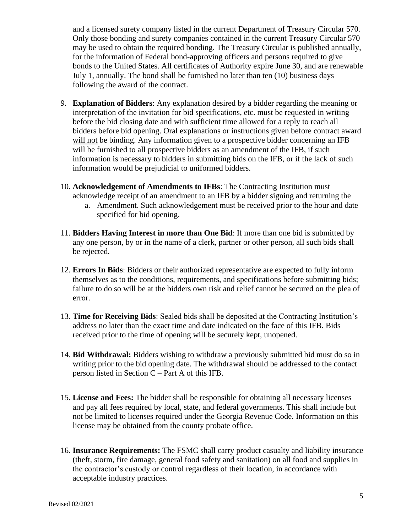and a licensed surety company listed in the current Department of Treasury Circular 570. Only those bonding and surety companies contained in the current Treasury Circular 570 may be used to obtain the required bonding. The Treasury Circular is published annually, for the information of Federal bond-approving officers and persons required to give bonds to the United States. All certificates of Authority expire June 30, and are renewable July 1, annually. The bond shall be furnished no later than ten (10) business days following the award of the contract.

- 9. **Explanation of Bidders**: Any explanation desired by a bidder regarding the meaning or interpretation of the invitation for bid specifications, etc. must be requested in writing before the bid closing date and with sufficient time allowed for a reply to reach all bidders before bid opening. Oral explanations or instructions given before contract award will not be binding. Any information given to a prospective bidder concerning an IFB will be furnished to all prospective bidders as an amendment of the IFB, if such information is necessary to bidders in submitting bids on the IFB, or if the lack of such information would be prejudicial to uniformed bidders.
- 10. **Acknowledgement of Amendments to IFBs**: The Contracting Institution must acknowledge receipt of an amendment to an IFB by a bidder signing and returning the
	- a. Amendment. Such acknowledgement must be received prior to the hour and date specified for bid opening.
- 11. **Bidders Having Interest in more than One Bid**: If more than one bid is submitted by any one person, by or in the name of a clerk, partner or other person, all such bids shall be rejected.
- 12. **Errors In Bids**: Bidders or their authorized representative are expected to fully inform themselves as to the conditions, requirements, and specifications before submitting bids; failure to do so will be at the bidders own risk and relief cannot be secured on the plea of error.
- 13. **Time for Receiving Bids**: Sealed bids shall be deposited at the Contracting Institution's address no later than the exact time and date indicated on the face of this IFB. Bids received prior to the time of opening will be securely kept, unopened.
- 14. **Bid Withdrawal:** Bidders wishing to withdraw a previously submitted bid must do so in writing prior to the bid opening date. The withdrawal should be addressed to the contact person listed in Section C – Part A of this IFB.
- 15. **License and Fees:** The bidder shall be responsible for obtaining all necessary licenses and pay all fees required by local, state, and federal governments. This shall include but not be limited to licenses required under the Georgia Revenue Code. Information on this license may be obtained from the county probate office.
- 16. **Insurance Requirements:** The FSMC shall carry product casualty and liability insurance (theft, storm, fire damage, general food safety and sanitation) on all food and supplies in the contractor's custody or control regardless of their location, in accordance with acceptable industry practices.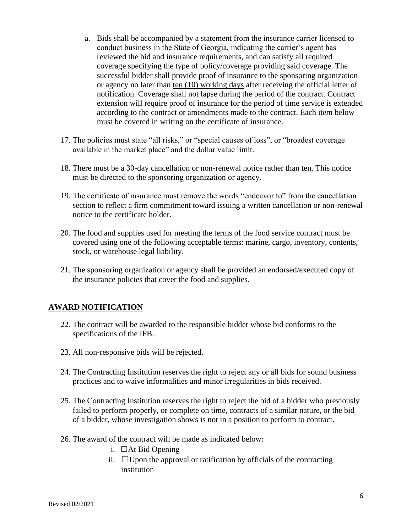- a. Bids shall be accompanied by a statement from the insurance carrier licensed to conduct business in the State of Georgia, indicating the carrier's agent has reviewed the bid and insurance requirements, and can satisfy all required coverage specifying the type of policy/coverage providing said coverage. The successful bidder shall provide proof of insurance to the sponsoring organization or agency no later than ten (10) working days after receiving the official letter of notification. Coverage shall not lapse during the period of the contract. Contract extension will require proof of insurance for the period of time service is extended according to the contract or amendments made to the contract. Each item below must be covered in writing on the certificate of insurance.
- 17. The policies must state "all risks," or "special causes of loss", or "broadest coverage available in the market place" and the dollar value limit.
- 18. There must be a 30-day cancellation or non-renewal notice rather than ten. This notice must be directed to the sponsoring organization or agency.
- 19. The certificate of insurance must remove the words "endeavor to" from the cancellation section to reflect a firm commitment toward issuing a written cancellation or non-renewal notice to the certificate holder.
- 20. The food and supplies used for meeting the terms of the food service contract must be covered using one of the following acceptable terms: marine, cargo, inventory, contents, stock, or warehouse legal liability.
- 21. The sponsoring organization or agency shall be provided an endorsed/executed copy of the insurance policies that cover the food and supplies.

## **AWARD NOTIFICATION**

- 22. The contract will be awarded to the responsible bidder whose bid conforms to the specifications of the IFB.
- 23. All non-responsive bids will be rejected.
- 24. The Contracting Institution reserves the right to reject any or all bids for sound business practices and to waive informalities and minor irregularities in bids received.
- 25. The Contracting Institution reserves the right to reject the bid of a bidder who previously failed to perform properly, or complete on time, contracts of a similar nature, or the bid of a bidder, whose investigation shows is not in a position to perform to contract.
- 26. The award of the contract will be made as indicated below:
	- i.  $\Box$ At Bid Opening
	- ii.  $\Box$  Upon the approval or ratification by officials of the contracting institution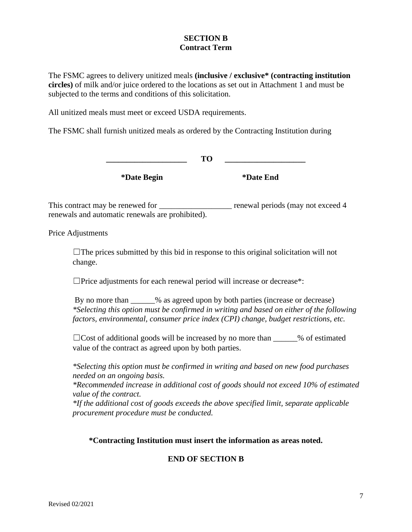#### **SECTION B Contract Term**

The FSMC agrees to delivery unitized meals **(inclusive / exclusive\* (contracting institution circles)** of milk and/or juice ordered to the locations as set out in Attachment 1 and must be subjected to the terms and conditions of this solicitation.

All unitized meals must meet or exceed USDA requirements.

The FSMC shall furnish unitized meals as ordered by the Contracting Institution during

**\_\_\_\_\_\_\_\_\_\_\_\_\_\_\_\_\_\_\_\_ TO \_\_\_\_\_\_\_\_\_\_\_\_\_\_\_\_\_\_\_\_**

**\*Date Begin \*Date End**

This contract may be renewed for \_\_\_\_\_\_\_\_\_\_\_\_\_\_\_\_\_\_ renewal periods (may not exceed 4 renewals and automatic renewals are prohibited).

Price Adjustments

 $\Box$  The prices submitted by this bid in response to this original solicitation will not change.

□Price adjustments for each renewal period will increase or decrease\*:

By no more than  $\%$  as agreed upon by both parties (increase or decrease) *\*Selecting this option must be confirmed in writing and based on either of the following factors, environmental, consumer price index (CPI) change, budget restrictions, etc.* 

 $\Box$ Cost of additional goods will be increased by no more than \_\_\_\_\_\_% of estimated value of the contract as agreed upon by both parties.

*\*Selecting this option must be confirmed in writing and based on new food purchases needed on an ongoing basis.* 

*\*Recommended increase in additional cost of goods should not exceed 10% of estimated value of the contract.* 

*\*If the additional cost of goods exceeds the above specified limit, separate applicable procurement procedure must be conducted.* 

#### **\*Contracting Institution must insert the information as areas noted.**

## **END OF SECTION B**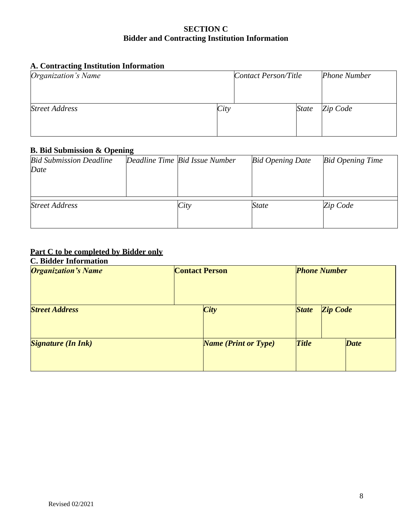#### **SECTION C Bidder and Contracting Institution Information**

## **A. Contracting Institution Information**

| Organization's Name   |      | Contact Person/Title |              | <b>Phone Number</b> |
|-----------------------|------|----------------------|--------------|---------------------|
|                       |      |                      |              |                     |
| <b>Street Address</b> | City |                      | <i>State</i> | Zip Code            |
|                       |      |                      |              |                     |

#### **B. Bid Submission & Opening**

| <b>Bid Submission Deadline</b> | Deadline Time Bid Issue Number | <b>Bid Opening Date</b> | <b>Bid Opening Time</b> |
|--------------------------------|--------------------------------|-------------------------|-------------------------|
| Date                           |                                |                         |                         |
|                                |                                |                         |                         |
|                                |                                |                         |                         |
|                                |                                |                         |                         |
| <b>Street Address</b>          | City                           | State                   | Zip Code                |
|                                |                                |                         |                         |
|                                |                                |                         |                         |

# **Part C to be completed by Bidder only**

## **C. Bidder Information**

| <b>Organization's Name</b> | <b>Contact Person</b>       | <b>Phone Number</b> |                 |
|----------------------------|-----------------------------|---------------------|-----------------|
| <b>Street Address</b>      | <b>City</b>                 | <b>State</b>        | <b>Zip Code</b> |
| <b>Signature (In Ink)</b>  | <b>Name (Print or Type)</b> | <b>Title</b>        | <b>Date</b>     |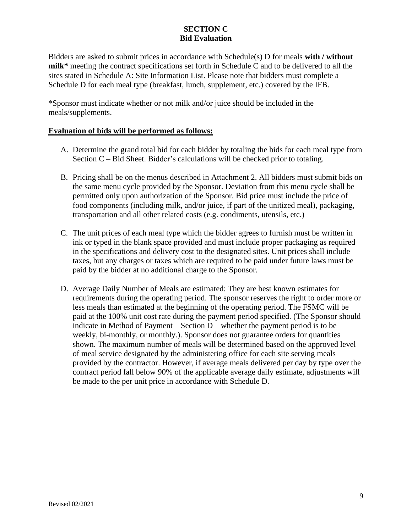# **SECTION C Bid Evaluation**

Bidders are asked to submit prices in accordance with Schedule(s) D for meals **with / without milk\*** meeting the contract specifications set forth in Schedule C and to be delivered to all the sites stated in Schedule A: Site Information List. Please note that bidders must complete a Schedule D for each meal type (breakfast, lunch, supplement, etc.) covered by the IFB.

\*Sponsor must indicate whether or not milk and/or juice should be included in the meals/supplements.

#### **Evaluation of bids will be performed as follows:**

- A. Determine the grand total bid for each bidder by totaling the bids for each meal type from Section C – Bid Sheet. Bidder's calculations will be checked prior to totaling.
- B. Pricing shall be on the menus described in Attachment 2. All bidders must submit bids on the same menu cycle provided by the Sponsor. Deviation from this menu cycle shall be permitted only upon authorization of the Sponsor. Bid price must include the price of food components (including milk, and/or juice, if part of the unitized meal), packaging, transportation and all other related costs (e.g. condiments, utensils, etc.)
- C. The unit prices of each meal type which the bidder agrees to furnish must be written in ink or typed in the blank space provided and must include proper packaging as required in the specifications and delivery cost to the designated sites. Unit prices shall include taxes, but any charges or taxes which are required to be paid under future laws must be paid by the bidder at no additional charge to the Sponsor.
- D. Average Daily Number of Meals are estimated: They are best known estimates for requirements during the operating period. The sponsor reserves the right to order more or less meals than estimated at the beginning of the operating period. The FSMC will be paid at the 100% unit cost rate during the payment period specified. (The Sponsor should indicate in Method of Payment – Section D – whether the payment period is to be weekly, bi-monthly, or monthly.). Sponsor does not guarantee orders for quantities shown. The maximum number of meals will be determined based on the approved level of meal service designated by the administering office for each site serving meals provided by the contractor. However, if average meals delivered per day by type over the contract period fall below 90% of the applicable average daily estimate, adjustments will be made to the per unit price in accordance with Schedule D.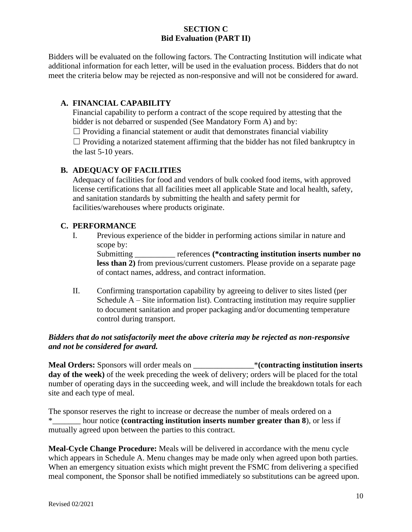## **SECTION C Bid Evaluation (PART II)**

Bidders will be evaluated on the following factors. The Contracting Institution will indicate what additional information for each letter, will be used in the evaluation process. Bidders that do not meet the criteria below may be rejected as non-responsive and will not be considered for award.

## **A. FINANCIAL CAPABILITY**

Financial capability to perform a contract of the scope required by attesting that the bidder is not debarred or suspended (See Mandatory Form A) and by:

 $\Box$  Providing a financial statement or audit that demonstrates financial viability

 $\Box$  Providing a notarized statement affirming that the bidder has not filed bankruptcy in the last 5-10 years.

# **B. ADEQUACY OF FACILITIES**

Adequacy of facilities for food and vendors of bulk cooked food items, with approved license certifications that all facilities meet all applicable State and local health, safety, and sanitation standards by submitting the health and safety permit for facilities/warehouses where products originate.

## **C. PERFORMANCE**

I. Previous experience of the bidder in performing actions similar in nature and scope by:

Submitting \_\_\_\_\_\_\_\_\_\_ references **(\*contracting institution inserts number no less than 2)** from previous/current customers. Please provide on a separate page of contact names, address, and contract information.

II. Confirming transportation capability by agreeing to deliver to sites listed (per Schedule A – Site information list). Contracting institution may require supplier to document sanitation and proper packaging and/or documenting temperature control during transport.

## *Bidders that do not satisfactorily meet the above criteria may be rejected as non-responsive and not be considered for award.*

**Meal Orders:** Sponsors will order meals on \_\_\_\_\_\_\_\_\_\_\_\_\_\_\_\***(contracting institution inserts day of the week)** of the week preceding the week of delivery; orders will be placed for the total number of operating days in the succeeding week, and will include the breakdown totals for each site and each type of meal.

The sponsor reserves the right to increase or decrease the number of meals ordered on a \*\_\_\_\_\_\_\_ hour notice **(contracting institution inserts number greater than 8**), or less if mutually agreed upon between the parties to this contract.

**Meal-Cycle Change Procedure:** Meals will be delivered in accordance with the menu cycle which appears in Schedule A. Menu changes may be made only when agreed upon both parties. When an emergency situation exists which might prevent the FSMC from delivering a specified meal component, the Sponsor shall be notified immediately so substitutions can be agreed upon.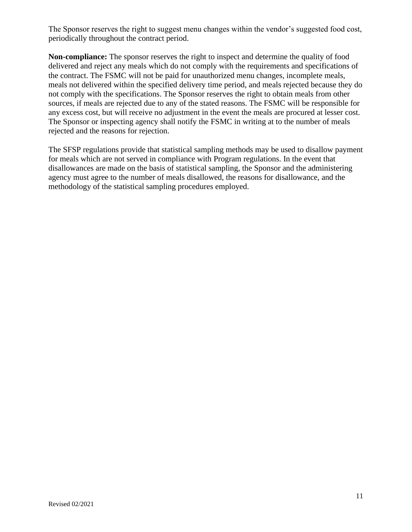The Sponsor reserves the right to suggest menu changes within the vendor's suggested food cost, periodically throughout the contract period.

**Non-compliance:** The sponsor reserves the right to inspect and determine the quality of food delivered and reject any meals which do not comply with the requirements and specifications of the contract. The FSMC will not be paid for unauthorized menu changes, incomplete meals, meals not delivered within the specified delivery time period, and meals rejected because they do not comply with the specifications. The Sponsor reserves the right to obtain meals from other sources, if meals are rejected due to any of the stated reasons. The FSMC will be responsible for any excess cost, but will receive no adjustment in the event the meals are procured at lesser cost. The Sponsor or inspecting agency shall notify the FSMC in writing at to the number of meals rejected and the reasons for rejection.

The SFSP regulations provide that statistical sampling methods may be used to disallow payment for meals which are not served in compliance with Program regulations. In the event that disallowances are made on the basis of statistical sampling, the Sponsor and the administering agency must agree to the number of meals disallowed, the reasons for disallowance, and the methodology of the statistical sampling procedures employed.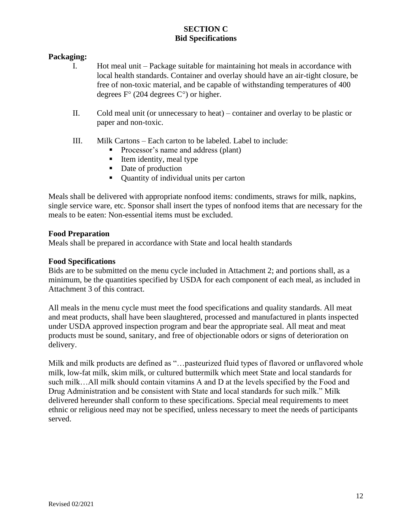# **SECTION C Bid Specifications**

## **Packaging:**

- I. Hot meal unit Package suitable for maintaining hot meals in accordance with local health standards. Container and overlay should have an air-tight closure, be free of non-toxic material, and be capable of withstanding temperatures of 400 degrees  $F^{\circ}$  (204 degrees  $C^{\circ}$ ) or higher.
- II. Cold meal unit (or unnecessary to heat) container and overlay to be plastic or paper and non-toxic.
- III. Milk Cartons Each carton to be labeled. Label to include:
	- Processor's name and address (plant)
	- Item identity, meal type
	- Date of production
	- Ouantity of individual units per carton

Meals shall be delivered with appropriate nonfood items: condiments, straws for milk, napkins, single service ware, etc. Sponsor shall insert the types of nonfood items that are necessary for the meals to be eaten: Non-essential items must be excluded.

#### **Food Preparation**

Meals shall be prepared in accordance with State and local health standards

#### **Food Specifications**

Bids are to be submitted on the menu cycle included in Attachment 2; and portions shall, as a minimum, be the quantities specified by USDA for each component of each meal, as included in Attachment 3 of this contract.

All meals in the menu cycle must meet the food specifications and quality standards. All meat and meat products, shall have been slaughtered, processed and manufactured in plants inspected under USDA approved inspection program and bear the appropriate seal. All meat and meat products must be sound, sanitary, and free of objectionable odors or signs of deterioration on delivery.

Milk and milk products are defined as "…pasteurized fluid types of flavored or unflavored whole milk, low-fat milk, skim milk, or cultured buttermilk which meet State and local standards for such milk…All milk should contain vitamins A and D at the levels specified by the Food and Drug Administration and be consistent with State and local standards for such milk." Milk delivered hereunder shall conform to these specifications. Special meal requirements to meet ethnic or religious need may not be specified, unless necessary to meet the needs of participants served.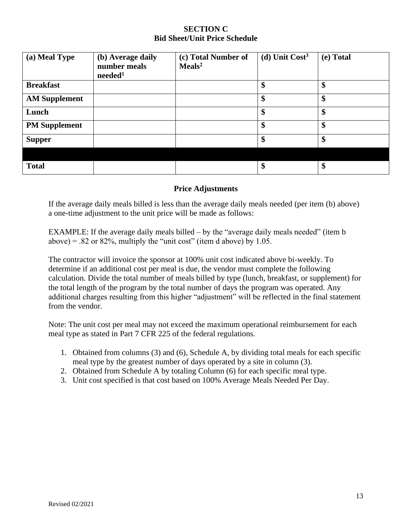#### **SECTION C Bid Sheet/Unit Price Schedule**

| (a) Meal Type        | (b) Average daily<br>number meals<br>needed <sup>1</sup> | (c) Total Number of<br>$\mathrm{Meals}^2$ | (d) Unit $Cost3$ | (e) Total |
|----------------------|----------------------------------------------------------|-------------------------------------------|------------------|-----------|
| <b>Breakfast</b>     |                                                          |                                           | \$               | \$        |
| <b>AM Supplement</b> |                                                          |                                           | \$               | \$        |
| Lunch                |                                                          |                                           | \$               | \$        |
| <b>PM Supplement</b> |                                                          |                                           | \$               | \$        |
| <b>Supper</b>        |                                                          |                                           | \$               | \$        |
|                      |                                                          |                                           |                  |           |
| <b>Total</b>         |                                                          |                                           | \$               | \$        |

#### **Price Adjustments**

If the average daily meals billed is less than the average daily meals needed (per item (b) above) a one-time adjustment to the unit price will be made as follows:

EXAMPLE: If the average daily meals billed – by the "average daily meals needed" (item b above) =  $.82$  or 82%, multiply the "unit cost" (item d above) by 1.05.

The contractor will invoice the sponsor at 100% unit cost indicated above bi-weekly. To determine if an additional cost per meal is due, the vendor must complete the following calculation. Divide the total number of meals billed by type (lunch, breakfast, or supplement) for the total length of the program by the total number of days the program was operated. Any additional charges resulting from this higher "adjustment" will be reflected in the final statement from the vendor.

Note: The unit cost per meal may not exceed the maximum operational reimbursement for each meal type as stated in Part 7 CFR 225 of the federal regulations.

- 1. Obtained from columns (3) and (6), Schedule A, by dividing total meals for each specific meal type by the greatest number of days operated by a site in column (3).
- 2. Obtained from Schedule A by totaling Column (6) for each specific meal type.
- 3. Unit cost specified is that cost based on 100% Average Meals Needed Per Day.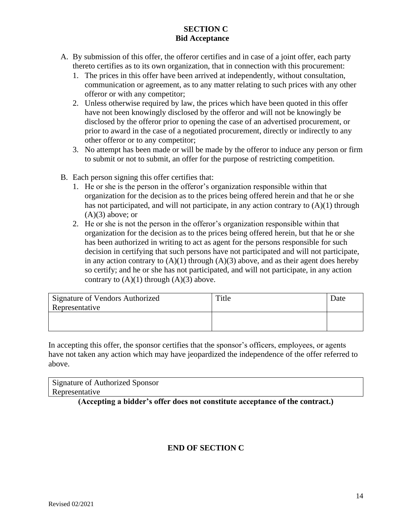# **SECTION C Bid Acceptance**

- A. By submission of this offer, the offeror certifies and in case of a joint offer, each party thereto certifies as to its own organization, that in connection with this procurement:
	- 1. The prices in this offer have been arrived at independently, without consultation, communication or agreement, as to any matter relating to such prices with any other offeror or with any competitor;
	- 2. Unless otherwise required by law, the prices which have been quoted in this offer have not been knowingly disclosed by the offeror and will not be knowingly be disclosed by the offeror prior to opening the case of an advertised procurement, or prior to award in the case of a negotiated procurement, directly or indirectly to any other offeror or to any competitor;
	- 3. No attempt has been made or will be made by the offeror to induce any person or firm to submit or not to submit, an offer for the purpose of restricting competition.
- B. Each person signing this offer certifies that:
	- 1. He or she is the person in the offeror's organization responsible within that organization for the decision as to the prices being offered herein and that he or she has not participated, and will not participate, in any action contrary to (A)(1) through  $(A)(3)$  above; or
	- 2. He or she is not the person in the offeror's organization responsible within that organization for the decision as to the prices being offered herein, but that he or she has been authorized in writing to act as agent for the persons responsible for such decision in certifying that such persons have not participated and will not participate, in any action contrary to  $(A)(1)$  through  $(A)(3)$  above, and as their agent does hereby so certify; and he or she has not participated, and will not participate, in any action contrary to  $(A)(1)$  through  $(A)(3)$  above.

| Signature of Vendors Authorized<br>Representative | Title | Date |
|---------------------------------------------------|-------|------|
|                                                   |       |      |

In accepting this offer, the sponsor certifies that the sponsor's officers, employees, or agents have not taken any action which may have jeopardized the independence of the offer referred to above.

| Signature of Authorized Sponsor |  |
|---------------------------------|--|
| Representative                  |  |

**(Accepting a bidder's offer does not constitute acceptance of the contract.)**

# **END OF SECTION C**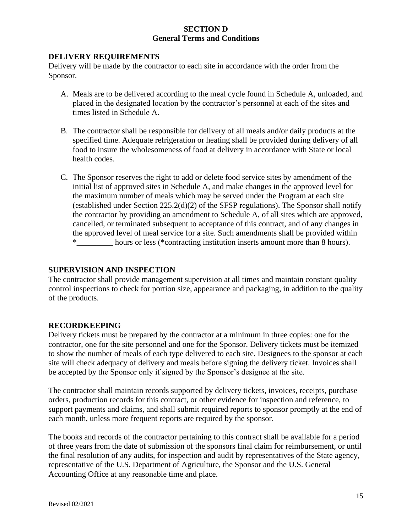#### **SECTION D General Terms and Conditions**

#### **DELIVERY REQUIREMENTS**

Delivery will be made by the contractor to each site in accordance with the order from the Sponsor.

- A. Meals are to be delivered according to the meal cycle found in Schedule A, unloaded, and placed in the designated location by the contractor's personnel at each of the sites and times listed in Schedule A.
- B. The contractor shall be responsible for delivery of all meals and/or daily products at the specified time. Adequate refrigeration or heating shall be provided during delivery of all food to insure the wholesomeness of food at delivery in accordance with State or local health codes.
- C. The Sponsor reserves the right to add or delete food service sites by amendment of the initial list of approved sites in Schedule A, and make changes in the approved level for the maximum number of meals which may be served under the Program at each site (established under Section 225.2(d)(2) of the SFSP regulations). The Sponsor shall notify the contractor by providing an amendment to Schedule A, of all sites which are approved, cancelled, or terminated subsequent to acceptance of this contract, and of any changes in the approved level of meal service for a site. Such amendments shall be provided within \*\_\_\_\_\_\_\_\_\_ hours or less (\*contracting institution inserts amount more than 8 hours).

## **SUPERVISION AND INSPECTION**

The contractor shall provide management supervision at all times and maintain constant quality control inspections to check for portion size, appearance and packaging, in addition to the quality of the products.

## **RECORDKEEPING**

Delivery tickets must be prepared by the contractor at a minimum in three copies: one for the contractor, one for the site personnel and one for the Sponsor. Delivery tickets must be itemized to show the number of meals of each type delivered to each site. Designees to the sponsor at each site will check adequacy of delivery and meals before signing the delivery ticket. Invoices shall be accepted by the Sponsor only if signed by the Sponsor's designee at the site.

The contractor shall maintain records supported by delivery tickets, invoices, receipts, purchase orders, production records for this contract, or other evidence for inspection and reference, to support payments and claims, and shall submit required reports to sponsor promptly at the end of each month, unless more frequent reports are required by the sponsor.

The books and records of the contractor pertaining to this contract shall be available for a period of three years from the date of submission of the sponsors final claim for reimbursement, or until the final resolution of any audits, for inspection and audit by representatives of the State agency, representative of the U.S. Department of Agriculture, the Sponsor and the U.S. General Accounting Office at any reasonable time and place.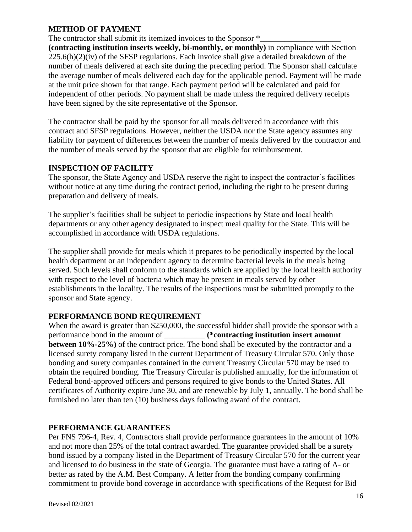#### **METHOD OF PAYMENT**

The contractor shall submit its itemized invoices to the Sponsor  $*$ 

**(contracting institution inserts weekly, bi-monthly, or monthly)** in compliance with Section  $225.6(h)(2)(iv)$  of the SFSP regulations. Each invoice shall give a detailed breakdown of the number of meals delivered at each site during the preceding period. The Sponsor shall calculate the average number of meals delivered each day for the applicable period. Payment will be made at the unit price shown for that range. Each payment period will be calculated and paid for independent of other periods. No payment shall be made unless the required delivery receipts have been signed by the site representative of the Sponsor.

The contractor shall be paid by the sponsor for all meals delivered in accordance with this contract and SFSP regulations. However, neither the USDA nor the State agency assumes any liability for payment of differences between the number of meals delivered by the contractor and the number of meals served by the sponsor that are eligible for reimbursement.

#### **INSPECTION OF FACILITY**

The sponsor, the State Agency and USDA reserve the right to inspect the contractor's facilities without notice at any time during the contract period, including the right to be present during preparation and delivery of meals.

The supplier's facilities shall be subject to periodic inspections by State and local health departments or any other agency designated to inspect meal quality for the State. This will be accomplished in accordance with USDA regulations.

The supplier shall provide for meals which it prepares to be periodically inspected by the local health department or an independent agency to determine bacterial levels in the meals being served. Such levels shall conform to the standards which are applied by the local health authority with respect to the level of bacteria which may be present in meals served by other establishments in the locality. The results of the inspections must be submitted promptly to the sponsor and State agency.

## **PERFORMANCE BOND REQUIREMENT**

When the award is greater than \$250,000, the successful bidder shall provide the sponsor with a performance bond in the amount of \_\_\_\_\_\_\_\_\_\_ **(\*contracting institution insert amount between 10%-25%)** of the contract price. The bond shall be executed by the contractor and a licensed surety company listed in the current Department of Treasury Circular 570. Only those bonding and surety companies contained in the current Treasury Circular 570 may be used to obtain the required bonding. The Treasury Circular is published annually, for the information of Federal bond-approved officers and persons required to give bonds to the United States. All certificates of Authority expire June 30, and are renewable by July 1, annually. The bond shall be furnished no later than ten (10) business days following award of the contract.

## **PERFORMANCE GUARANTEES**

Per FNS 796-4, Rev. 4, Contractors shall provide performance guarantees in the amount of 10% and not more than 25% of the total contract awarded. The guarantee provided shall be a surety bond issued by a company listed in the Department of Treasury Circular 570 for the current year and licensed to do business in the state of Georgia. The guarantee must have a rating of A- or better as rated by the A.M. Best Company. A letter from the bonding company confirming commitment to provide bond coverage in accordance with specifications of the Request for Bid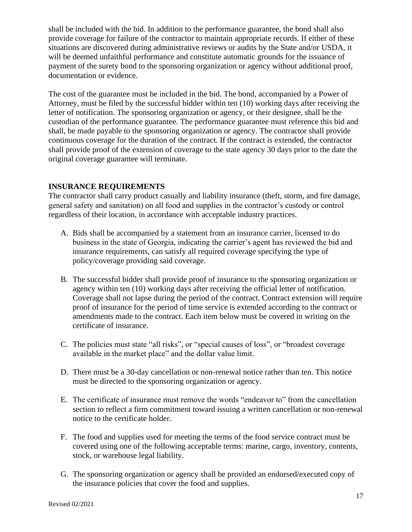shall be included with the bid. In addition to the performance guarantee, the bond shall also provide coverage for failure of the contractor to maintain appropriate records. If either of these situations are discovered during administrative reviews or audits by the State and/or USDA, it will be deemed unfaithful performance and constitute automatic grounds for the issuance of payment of the surety bond to the sponsoring organization or agency without additional proof, documentation or evidence.

The cost of the guarantee must be included in the bid. The bond, accompanied by a Power of Attorney, must be filed by the successful bidder within ten (10) working days after receiving the letter of notification. The sponsoring organization or agency, or their designee, shall be the custodian of the performance guarantee. The performance guarantee must reference this bid and shall, be made payable to the sponsoring organization or agency. The contractor shall provide continuous coverage for the duration of the contract. If the contract is extended, the contractor shall provide proof of the extension of coverage to the state agency 30 days prior to the date the original coverage guarantee will terminate.

#### **INSURANCE REQUIREMENTS**

The contractor shall carry product casually and liability insurance (theft, storm, and fire damage, general safety and sanitation) on all food and supplies in the contractor's custody or control regardless of their location, in accordance with acceptable industry practices.

- A. Bids shall be accompanied by a statement from an insurance carrier, licensed to do business in the state of Georgia, indicating the carrier's agent has reviewed the bid and insurance requirements, can satisfy all required coverage specifying the type of policy/coverage providing said coverage.
- B. The successful bidder shall provide proof of insurance to the sponsoring organization or agency within ten (10) working days after receiving the official letter of notification. Coverage shall not lapse during the period of the contract. Contract extension will require proof of insurance for the period of time service is extended according to the contract or amendments made to the contract. Each item below must be covered in writing on the certificate of insurance.
- C. The policies must state "all risks", or "special causes of loss", or "broadest coverage available in the market place" and the dollar value limit.
- D. There must be a 30-day cancellation or non-renewal notice rather than ten. This notice must be directed to the sponsoring organization or agency.
- E. The certificate of insurance must remove the words "endeavor to" from the cancellation section to reflect a firm commitment toward issuing a written cancellation or non-renewal notice to the certificate holder.
- F. The food and supplies used for meeting the terms of the food service contract must be covered using one of the following acceptable terms: marine, cargo, inventory, contents, stock, or warehouse legal liability.
- G. The sponsoring organization or agency shall be provided an endorsed/executed copy of the insurance policies that cover the food and supplies.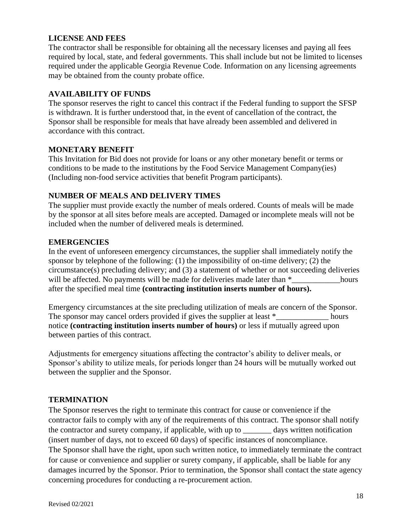#### **LICENSE AND FEES**

The contractor shall be responsible for obtaining all the necessary licenses and paying all fees required by local, state, and federal governments. This shall include but not be limited to licenses required under the applicable Georgia Revenue Code. Information on any licensing agreements may be obtained from the county probate office.

#### **AVAILABILITY OF FUNDS**

The sponsor reserves the right to cancel this contract if the Federal funding to support the SFSP is withdrawn. It is further understood that, in the event of cancellation of the contract, the Sponsor shall be responsible for meals that have already been assembled and delivered in accordance with this contract.

#### **MONETARY BENEFIT**

This Invitation for Bid does not provide for loans or any other monetary benefit or terms or conditions to be made to the institutions by the Food Service Management Company(ies) (Including non-food service activities that benefit Program participants).

## **NUMBER OF MEALS AND DELIVERY TIMES**

The supplier must provide exactly the number of meals ordered. Counts of meals will be made by the sponsor at all sites before meals are accepted. Damaged or incomplete meals will not be included when the number of delivered meals is determined.

#### **EMERGENCIES**

In the event of unforeseen emergency circumstances, the supplier shall immediately notify the sponsor by telephone of the following: (1) the impossibility of on-time delivery; (2) the circumstance(s) precluding delivery; and (3) a statement of whether or not succeeding deliveries will be affected. No payments will be made for deliveries made later than  $*$ after the specified meal time **(contracting institution inserts number of hours).** 

Emergency circumstances at the site precluding utilization of meals are concern of the Sponsor. The sponsor may cancel orders provided if gives the supplier at least  $*$  hours notice **(contracting institution inserts number of hours)** or less if mutually agreed upon between parties of this contract.

Adjustments for emergency situations affecting the contractor's ability to deliver meals, or Sponsor's ability to utilize meals, for periods longer than 24 hours will be mutually worked out between the supplier and the Sponsor.

#### **TERMINATION**

The Sponsor reserves the right to terminate this contract for cause or convenience if the contractor fails to comply with any of the requirements of this contract. The sponsor shall notify the contractor and surety company, if applicable, with up to \_\_\_\_\_\_\_ days written notification (insert number of days, not to exceed 60 days) of specific instances of noncompliance. The Sponsor shall have the right, upon such written notice, to immediately terminate the contract for cause or convenience and supplier or surety company, if applicable, shall be liable for any damages incurred by the Sponsor. Prior to termination, the Sponsor shall contact the state agency concerning procedures for conducting a re-procurement action.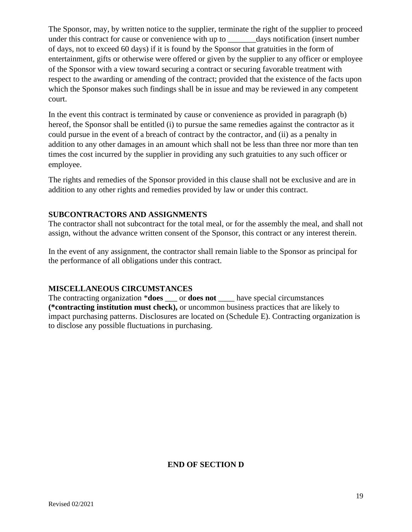The Sponsor, may, by written notice to the supplier, terminate the right of the supplier to proceed under this contract for cause or convenience with up to \_\_\_\_\_\_\_\_days notification (insert number of days, not to exceed 60 days) if it is found by the Sponsor that gratuities in the form of entertainment, gifts or otherwise were offered or given by the supplier to any officer or employee of the Sponsor with a view toward securing a contract or securing favorable treatment with respect to the awarding or amending of the contract; provided that the existence of the facts upon which the Sponsor makes such findings shall be in issue and may be reviewed in any competent court.

In the event this contract is terminated by cause or convenience as provided in paragraph (b) hereof, the Sponsor shall be entitled (i) to pursue the same remedies against the contractor as it could pursue in the event of a breach of contract by the contractor, and (ii) as a penalty in addition to any other damages in an amount which shall not be less than three nor more than ten times the cost incurred by the supplier in providing any such gratuities to any such officer or employee.

The rights and remedies of the Sponsor provided in this clause shall not be exclusive and are in addition to any other rights and remedies provided by law or under this contract.

## **SUBCONTRACTORS AND ASSIGNMENTS**

The contractor shall not subcontract for the total meal, or for the assembly the meal, and shall not assign, without the advance written consent of the Sponsor, this contract or any interest therein.

In the event of any assignment, the contractor shall remain liable to the Sponsor as principal for the performance of all obligations under this contract.

## **MISCELLANEOUS CIRCUMSTANCES**

The contracting organization \***does** \_\_\_ or **does not** \_\_\_\_ have special circumstances **(\*contracting institution must check),** or uncommon business practices that are likely to impact purchasing patterns. Disclosures are located on (Schedule E). Contracting organization is to disclose any possible fluctuations in purchasing.

#### **END OF SECTION D**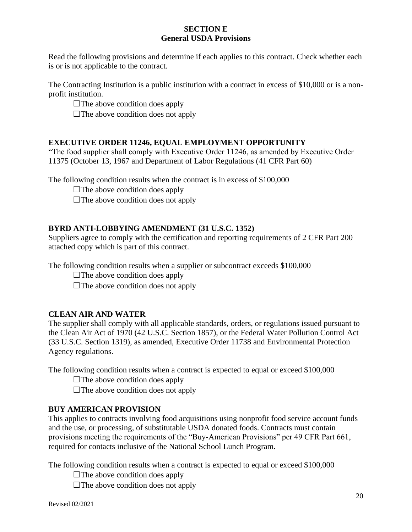#### **SECTION E General USDA Provisions**

Read the following provisions and determine if each applies to this contract. Check whether each is or is not applicable to the contract.

The Contracting Institution is a public institution with a contract in excess of \$10,000 or is a nonprofit institution.

 $\Box$ The above condition does apply

 $\Box$ The above condition does not apply

# **EXECUTIVE ORDER 11246, EQUAL EMPLOYMENT OPPORTUNITY**

"The food supplier shall comply with Executive Order 11246, as amended by Executive Order 11375 (October 13, 1967 and Department of Labor Regulations (41 CFR Part 60)

The following condition results when the contract is in excess of \$100,000

 $\Box$ The above condition does apply

 $\Box$ The above condition does not apply

# **BYRD ANTI-LOBBYING AMENDMENT (31 U.S.C. 1352)**

Suppliers agree to comply with the certification and reporting requirements of 2 CFR Part 200 attached copy which is part of this contract.

The following condition results when a supplier or subcontract exceeds \$100,000

 $\Box$ The above condition does apply

 $\Box$ The above condition does not apply

# **CLEAN AIR AND WATER**

The supplier shall comply with all applicable standards, orders, or regulations issued pursuant to the Clean Air Act of 1970 (42 U.S.C. Section 1857), or the Federal Water Pollution Control Act (33 U.S.C. Section 1319), as amended, Executive Order 11738 and Environmental Protection Agency regulations.

The following condition results when a contract is expected to equal or exceed \$100,000

 $\Box$ The above condition does apply

 $\Box$ The above condition does not apply

# **BUY AMERICAN PROVISION**

This applies to contracts involving food acquisitions using nonprofit food service account funds and the use, or processing, of substitutable USDA donated foods. Contracts must contain provisions meeting the requirements of the "Buy-American Provisions" per 49 CFR Part 661, required for contacts inclusive of the National School Lunch Program.

The following condition results when a contract is expected to equal or exceed \$100,000

 $\Box$ The above condition does apply

 $\Box$ The above condition does not apply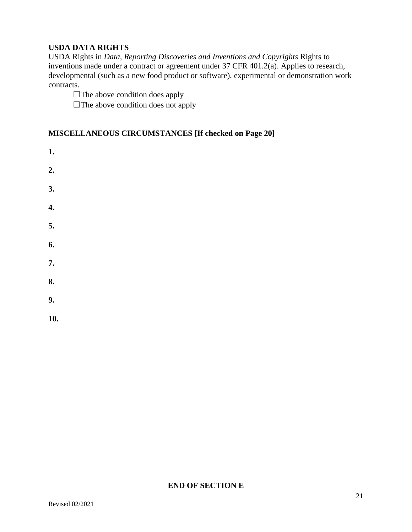# **USDA DATA RIGHTS**

USDA Rights in *Data, Reporting Discoveries and Inventions and Copyrights* Rights to inventions made under a contract or agreement under 37 CFR 401.2(a). Applies to research, developmental (such as a new food product or software), experimental or demonstration work contracts.

 $\Box$ The above condition does apply

 $\Box$ The above condition does not apply

# **MISCELLANEOUS CIRCUMSTANCES [If checked on Page 20]**

- **1. 2. 3. 4. 5. 6. 7. 8. 9.**
- **10.**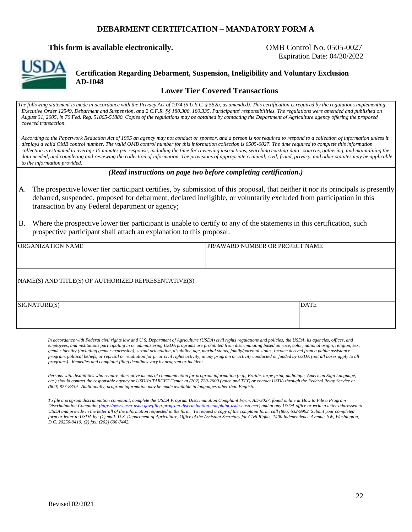#### **DEBARMENT CERTIFICATION – MANDATORY FORM A**

#### **This form is available electronically. COMB Control No. 0505-0027**

Expiration Date: 04/30/2022



**Certification Regarding Debarment, Suspension, Ineligibility and Voluntary Exclusion AD-1048**

#### **Lower Tier Covered Transactions**

*The following statement is made in accordance with the Privacy Act of 1974 (5 U.S.C. § 552a, as amended). This certification is required by the regulations implementing Executive Order 12549, Debarment and Suspension, and 2 C.F.R. §§ 180.300, 180.335, Participants' responsibilities. The regulations were amended and published on August 31, 2005, in 70 Fed. Reg. 51865-51880. Copies of the regulations may be obtained by contacting the Department of Agriculture agency offering the proposed covered transaction.*

*According to the Paperwork Reduction Act of 1995 an agency may not conduct or sponsor, and a person is not required to respond to a collection of information unless it*  displays a valid OMB control number. The valid OMB control number for this information collection is 0505-0027. The time required to complete this information *collection is estimated to average 15 minutes per response, including the time for reviewing instructions, searching existing data sources, gathering, and maintaining the data needed, and completing and reviewing the collection of information. The provisions of appropriate criminal, civil, fraud, privacy, and other statutes may be applicable to the information provided.*

#### *(Read instructions on page two before completing certification.)*

- A. The prospective lower tier participant certifies, by submission of this proposal, that neither it nor its principals is presently debarred, suspended, proposed for debarment, declared ineligible, or voluntarily excluded from participation in this transaction by any Federal department or agency;
- B. Where the prospective lower tier participant is unable to certify to any of the statements in this certification, such prospective participant shall attach an explanation to this proposal.

| ORGANIZATION NAME                                    | <b>PR/AWARD NUMBER OR PROJECT NAME</b> |             |
|------------------------------------------------------|----------------------------------------|-------------|
|                                                      |                                        |             |
| NAME(S) AND TITLE(S) OF AUTHORIZED REPRESENTATIVE(S) |                                        |             |
| SIGNATURE(S)                                         |                                        | <b>DATE</b> |

*In accordance with Federal civil rights law and U.S. Department of Agriculture (USDA) civil rights regulations and policies, the USDA, its agencies, offices, and employees, and institutions participating in or administering USDA programs are prohibited from discriminating based on race, color, national origin, religion, sex, gender identity (including gender expression), sexual orientation, disability, age, marital status, family/parental status, income derived from a public assistance program, political beliefs, or reprisal or retaliation for prior civil rights activity, in any program or activity conducted or funded by USDA (not all bases apply to all programs). Remedies and complaint filing deadlines vary by program or incident.* 

*Persons with disabilities who require alternative means of communication for program information (e.g., Braille, large print, audiotape, American Sign Language, etc.) should contact the responsible agency or USDA's TARGET Center at (202) 720-2600 (voice and TTY) or contact USDA through the Federal Relay Service at (800) 877-8339. Additionally, program information may be made available in languages other than English.* 

*To file a program discrimination complaint, complete the USDA Program Discrimination Complaint Form, AD-3027, found online at How to File a Program Discrimination Complain[t \(https://www.ascr.usda.gov/filing-program-discrimination-complaint-usda-customer\)](https://www.ascr.usda.gov/filing-program-discrimination-complaint-usda-customer) and at any USDA office or write a letter addressed to USDA and provide in the letter all of the information requested in the form. To request a copy of the complaint form, call (866) 632-9992. Submit your completed*  form or letter to USDA by: (1) mail: U.S. Department of Agriculture, Office of the Assistant Secretary for Civil Rights, 1400 Independence Avenue, SW, Washington, *D.C. 20250-9410; (2) fax: (202) 690-7442.*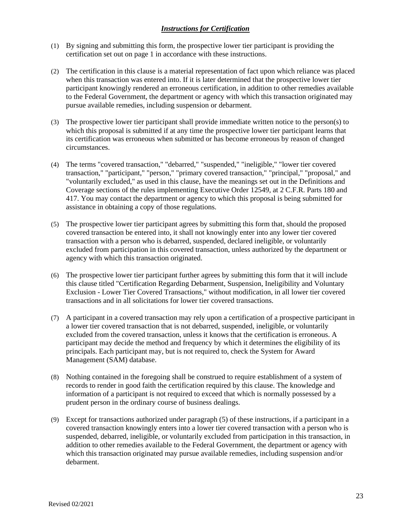#### *Instructions for Certification*

- (1) By signing and submitting this form, the prospective lower tier participant is providing the certification set out on page 1 in accordance with these instructions.
- (2) The certification in this clause is a material representation of fact upon which reliance was placed when this transaction was entered into. If it is later determined that the prospective lower tier participant knowingly rendered an erroneous certification, in addition to other remedies available to the Federal Government, the department or agency with which this transaction originated may pursue available remedies, including suspension or debarment.
- (3) The prospective lower tier participant shall provide immediate written notice to the person(s) to which this proposal is submitted if at any time the prospective lower tier participant learns that its certification was erroneous when submitted or has become erroneous by reason of changed circumstances.
- (4) The terms "covered transaction," "debarred," "suspended," "ineligible," "lower tier covered transaction," "participant," "person," "primary covered transaction," "principal," "proposal," and "voluntarily excluded," as used in this clause, have the meanings set out in the Definitions and Coverage sections of the rules implementing Executive Order 12549, at 2 C.F.R. Parts 180 and 417. You may contact the department or agency to which this proposal is being submitted for assistance in obtaining a copy of those regulations.
- (5) The prospective lower tier participant agrees by submitting this form that, should the proposed covered transaction be entered into, it shall not knowingly enter into any lower tier covered transaction with a person who is debarred, suspended, declared ineligible, or voluntarily excluded from participation in this covered transaction, unless authorized by the department or agency with which this transaction originated.
- (6) The prospective lower tier participant further agrees by submitting this form that it will include this clause titled "Certification Regarding Debarment, Suspension, Ineligibility and Voluntary Exclusion - Lower Tier Covered Transactions," without modification, in all lower tier covered transactions and in all solicitations for lower tier covered transactions.
- (7) A participant in a covered transaction may rely upon a certification of a prospective participant in a lower tier covered transaction that is not debarred, suspended, ineligible, or voluntarily excluded from the covered transaction, unless it knows that the certification is erroneous. A participant may decide the method and frequency by which it determines the eligibility of its principals. Each participant may, but is not required to, check the System for Award Management (SAM) database.
- (8) Nothing contained in the foregoing shall be construed to require establishment of a system of records to render in good faith the certification required by this clause. The knowledge and information of a participant is not required to exceed that which is normally possessed by a prudent person in the ordinary course of business dealings.
- (9) Except for transactions authorized under paragraph (5) of these instructions, if a participant in a covered transaction knowingly enters into a lower tier covered transaction with a person who is suspended, debarred, ineligible, or voluntarily excluded from participation in this transaction, in addition to other remedies available to the Federal Government, the department or agency with which this transaction originated may pursue available remedies, including suspension and/or debarment.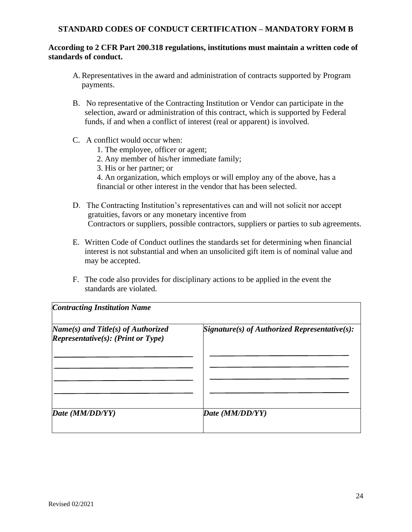#### **STANDARD CODES OF CONDUCT CERTIFICATION – MANDATORY FORM B**

#### **According to 2 CFR Part 200.318 regulations, institutions must maintain a written code of standards of conduct.**

- A.Representatives in the award and administration of contracts supported by Program payments.
- B. No representative of the Contracting Institution or Vendor can participate in the selection, award or administration of this contract, which is supported by Federal funds, if and when a conflict of interest (real or apparent) is involved.
- C. A conflict would occur when:
	- 1. The employee, officer or agent;
	- 2. Any member of his/her immediate family;
	- 3. His or her partner; or
	- 4. An organization, which employs or will employ any of the above, has a financial or other interest in the vendor that has been selected.
- D. The Contracting Institution's representatives can and will not solicit nor accept gratuities, favors or any monetary incentive from Contractors or suppliers, possible contractors, suppliers or parties to sub agreements.
- E. Written Code of Conduct outlines the standards set for determining when financial interest is not substantial and when an unsolicited gift item is of nominal value and may be accepted.
- F. The code also provides for disciplinary actions to be applied in the event the standards are violated.

| $Name(s)$ and Title(s) of Authorized<br>Representative $(s)$ : (Print or Type) | $Signature(s)$ of Authorized Representative(s): |
|--------------------------------------------------------------------------------|-------------------------------------------------|
|                                                                                |                                                 |
|                                                                                |                                                 |
|                                                                                |                                                 |
| Date (MM/DD/YY)                                                                | Date (MM/DD/YY)                                 |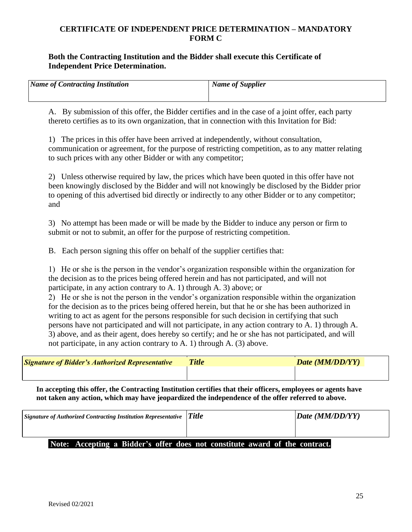## **CERTIFICATE OF INDEPENDENT PRICE DETERMINATION – MANDATORY FORM C**

#### **Both the Contracting Institution and the Bidder shall execute this Certificate of Independent Price Determination.**

| <b>Name of Contracting Institution</b> | Name of Supplier |
|----------------------------------------|------------------|
|                                        |                  |

A. By submission of this offer, the Bidder certifies and in the case of a joint offer, each party thereto certifies as to its own organization, that in connection with this Invitation for Bid:

1) The prices in this offer have been arrived at independently, without consultation, communication or agreement, for the purpose of restricting competition, as to any matter relating to such prices with any other Bidder or with any competitor;

2) Unless otherwise required by law, the prices which have been quoted in this offer have not been knowingly disclosed by the Bidder and will not knowingly be disclosed by the Bidder prior to opening of this advertised bid directly or indirectly to any other Bidder or to any competitor; and

3) No attempt has been made or will be made by the Bidder to induce any person or firm to submit or not to submit, an offer for the purpose of restricting competition.

B. Each person signing this offer on behalf of the supplier certifies that:

1) He or she is the person in the vendor's organization responsible within the organization for the decision as to the prices being offered herein and has not participated, and will not participate, in any action contrary to A. 1) through A. 3) above; or

2) He or she is not the person in the vendor's organization responsible within the organization for the decision as to the prices being offered herein, but that he or she has been authorized in writing to act as agent for the persons responsible for such decision in certifying that such persons have not participated and will not participate, in any action contrary to A. 1) through A. 3) above, and as their agent, does hereby so certify; and he or she has not participated, and will not participate, in any action contrary to A. 1) through A. (3) above.

| <b>Signature of Bidder's Authorized Representative</b> | <b>Title</b> | Date (MM/DD/YY) |
|--------------------------------------------------------|--------------|-----------------|
|                                                        |              |                 |

**In accepting this offer, the Contracting Institution certifies that their officers, employees or agents have not taken any action, which may have jeopardized the independence of the offer referred to above.**

| $\vert$ Signature of Authorized Contracting Institution Representative $\vert$ Title | Data (MM/DD/YY) |
|--------------------------------------------------------------------------------------|-----------------|
|                                                                                      |                 |
| Note: Accepting a Bidder's offer does not constitute award of the contract.          |                 |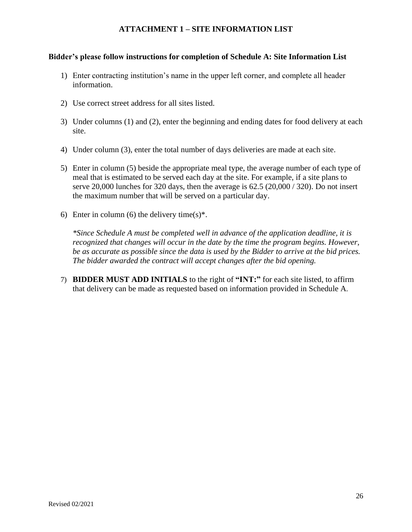# **ATTACHMENT 1 – SITE INFORMATION LIST**

#### **Bidder's please follow instructions for completion of Schedule A: Site Information List**

- 1) Enter contracting institution's name in the upper left corner, and complete all header information.
- 2) Use correct street address for all sites listed.
- 3) Under columns (1) and (2), enter the beginning and ending dates for food delivery at each site.
- 4) Under column (3), enter the total number of days deliveries are made at each site.
- 5) Enter in column (5) beside the appropriate meal type, the average number of each type of meal that is estimated to be served each day at the site. For example, if a site plans to serve 20,000 lunches for 320 days, then the average is 62.5 (20,000 / 320). Do not insert the maximum number that will be served on a particular day.
- 6) Enter in column (6) the delivery time(s)\*.

*\*Since Schedule A must be completed well in advance of the application deadline, it is recognized that changes will occur in the date by the time the program begins. However, be as accurate as possible since the data is used by the Bidder to arrive at the bid prices. The bidder awarded the contract will accept changes after the bid opening.*

7) **BIDDER MUST ADD INITIALS** to the right of **"INT:"** for each site listed, to affirm that delivery can be made as requested based on information provided in Schedule A.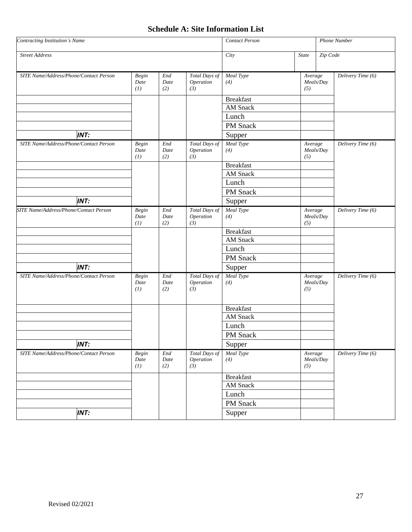# **Schedule A: Site Information List**

| Contracting Institution's Name         |                             |                               | <b>Contact Person</b>                    |                         | Phone Number   |           |                   |
|----------------------------------------|-----------------------------|-------------------------------|------------------------------------------|-------------------------|----------------|-----------|-------------------|
| <b>Street Address</b>                  |                             |                               | City                                     | $State$                 | Zip Code       |           |                   |
| SITE Name/Address/Phone/Contact Person | <b>Begin</b><br>Date<br>(1) | End<br>Date<br>(2)            | <b>Total Days of</b><br>Operation<br>(3) | Meal Type<br>(4)        | Average<br>(5) | Meals/Day | Delivery Time (6) |
|                                        |                             |                               |                                          | <b>Breakfast</b>        |                |           |                   |
|                                        |                             |                               |                                          | <b>AM</b> Snack         |                |           |                   |
|                                        |                             |                               |                                          | Lunch                   |                |           |                   |
|                                        |                             |                               |                                          | PM Snack                |                |           |                   |
| <b>INT:</b>                            |                             |                               |                                          | Supper                  |                |           |                   |
| SITE Name/Address/Phone/Contact Person | Begin<br>Date<br>(1)        | End<br>Date<br>(2)            | Total Days of<br>Operation<br>(3)        | Meal Type<br>(4)        | Average<br>(5) | Meals/Day | Delivery Time (6) |
|                                        |                             |                               |                                          | <b>Breakfast</b>        |                |           |                   |
|                                        |                             |                               |                                          | AM Snack                |                |           |                   |
|                                        |                             |                               |                                          | Lunch                   |                |           |                   |
|                                        |                             |                               |                                          | PM Snack                |                |           |                   |
| <b>INT:</b>                            |                             |                               |                                          | Supper                  |                |           |                   |
| SITE Name/Address/Phone/Contact Person | Begin<br>Date<br>(1)        | End<br>Date<br>(2)            | Total Days of<br>Operation<br>(3)        | Meal Type<br>(4)        | Average<br>(5) | Meals/Day | Delivery Time (6) |
|                                        |                             |                               |                                          | <b>Breakfast</b>        |                |           |                   |
|                                        |                             |                               |                                          | AM Snack                |                |           |                   |
|                                        |                             |                               |                                          | Lunch                   |                |           |                   |
|                                        |                             |                               |                                          | PM Snack                |                |           |                   |
| <b>INT:</b>                            |                             |                               |                                          | Supper                  |                |           |                   |
| SITE Name/Address/Phone/Contact Person | <b>Begin</b><br>Date<br>(1) | End<br>Date<br>(2)            | Total Days of<br>Operation<br>(3)        | Meal Type<br>(4)        | Average<br>(5) | Meals/Day | Delivery Time (6) |
|                                        |                             |                               |                                          | <b>Breakfast</b>        |                |           |                   |
|                                        |                             |                               |                                          | AM Snack                |                |           |                   |
|                                        |                             |                               |                                          | Lunch                   |                |           |                   |
|                                        |                             |                               |                                          | PM Snack                |                |           |                   |
| <b>INT:</b>                            |                             |                               |                                          | Supper                  |                |           |                   |
| SITE Name/Address/Phone/Contact Person | Begin<br>Date<br>(I)        | $\mathit{End}$<br>Date<br>(2) | Total Days of<br>Operation<br>(3)        | <b>Meal Type</b><br>(4) | Average<br>(5) | Meals/Day | Delivery Time (6) |
|                                        |                             |                               |                                          | <b>Breakfast</b>        |                |           |                   |
|                                        |                             |                               |                                          | AM Snack                |                |           |                   |
|                                        |                             |                               |                                          | Lunch                   |                |           |                   |
|                                        |                             |                               |                                          | PM Snack                |                |           |                   |
| <b>INT:</b>                            |                             |                               |                                          | Supper                  |                |           |                   |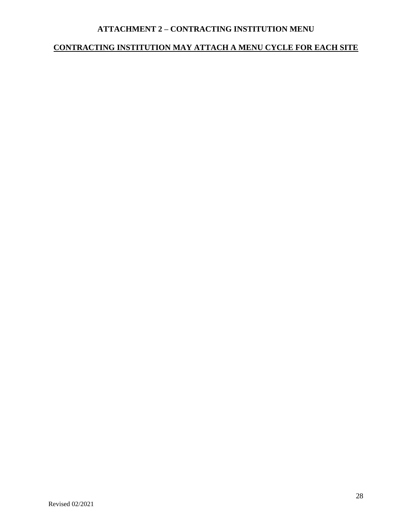# **ATTACHMENT 2 – CONTRACTING INSTITUTION MENU**

# **CONTRACTING INSTITUTION MAY ATTACH A MENU CYCLE FOR EACH SITE**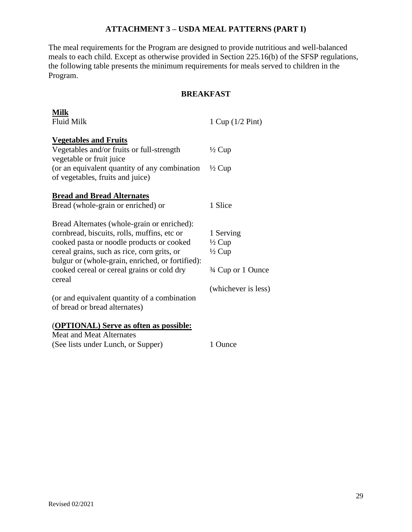# **ATTACHMENT 3 – USDA MEAL PATTERNS (PART I)**

The meal requirements for the Program are designed to provide nutritious and well-balanced meals to each child. Except as otherwise provided in Section 225.16(b) of the SFSP regulations, the following table presents the minimum requirements for meals served to children in the Program.

#### **BREAKFAST**

| <b>Milk</b><br><b>Fluid Milk</b>                                                                                                                                                                                                                                                                   | 1 Cup $(1/2$ Pint)                                                        |
|----------------------------------------------------------------------------------------------------------------------------------------------------------------------------------------------------------------------------------------------------------------------------------------------------|---------------------------------------------------------------------------|
| <b>Vegetables and Fruits</b><br>Vegetables and/or fruits or full-strength<br>vegetable or fruit juice<br>(or an equivalent quantity of any combination)<br>of vegetables, fruits and juice)                                                                                                        | $\frac{1}{2}$ Cup<br>$\frac{1}{2}$ Cup                                    |
| <b>Bread and Bread Alternates</b><br>Bread (whole-grain or enriched) or                                                                                                                                                                                                                            | 1 Slice                                                                   |
| Bread Alternates (whole-grain or enriched):<br>cornbread, biscuits, rolls, muffins, etc or<br>cooked pasta or noodle products or cooked<br>cereal grains, such as rice, corn grits, or<br>bulgur or (whole-grain, enriched, or fortified):<br>cooked cereal or cereal grains or cold dry<br>cereal | 1 Serving<br>$\frac{1}{2}$ Cup<br>$\frac{1}{2}$ Cup<br>3/4 Cup or 1 Ounce |
| (or and equivalent quantity of a combination<br>of bread or bread alternates)                                                                                                                                                                                                                      | (whichever is less)                                                       |
| (OPTIONAL) Serve as often as possible:<br><b>Meat and Meat Alternates</b><br>(See lists under Lunch, or Supper)                                                                                                                                                                                    | 1 Ounce                                                                   |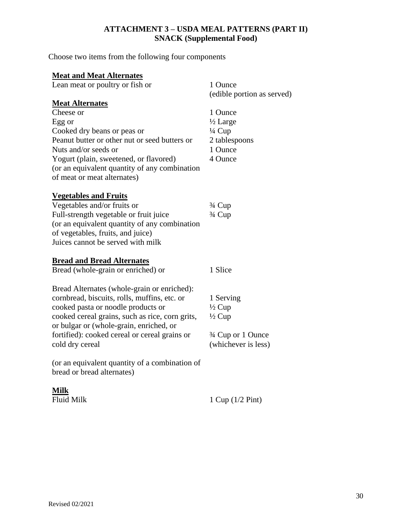# **ATTACHMENT 3 – USDA MEAL PATTERNS (PART II) SNACK (Supplemental Food)**

Choose two items from the following four components

# **Meat and Meat Alternates**

| <u><b>INICHE UNIVERSITY INTERNATIONAL</b></u>   |                            |  |  |
|-------------------------------------------------|----------------------------|--|--|
| Lean meat or poultry or fish or                 | 1 Ounce                    |  |  |
|                                                 | (edible portion as served) |  |  |
| <b>Meat Alternates</b>                          |                            |  |  |
| Cheese or                                       | 1 Ounce                    |  |  |
| Egg or                                          | $\frac{1}{2}$ Large        |  |  |
| Cooked dry beans or peas or                     | $\frac{1}{4}$ Cup          |  |  |
| Peanut butter or other nut or seed butters or   | 2 tablespoons              |  |  |
| Nuts and/or seeds or                            | 1 Ounce                    |  |  |
| Yogurt (plain, sweetened, or flavored)          | 4 Ounce                    |  |  |
| (or an equivalent quantity of any combination   |                            |  |  |
| of meat or meat alternates)                     |                            |  |  |
|                                                 |                            |  |  |
| <b>Vegetables and Fruits</b>                    |                            |  |  |
| Vegetables and/or fruits or                     | $\frac{3}{4}$ Cup          |  |  |
| Full-strength vegetable or fruit juice          | 3/4 Cup                    |  |  |
| (or an equivalent quantity of any combination   |                            |  |  |
| of vegetables, fruits, and juice)               |                            |  |  |
| Juices cannot be served with milk               |                            |  |  |
|                                                 |                            |  |  |
| <b>Bread and Bread Alternates</b>               |                            |  |  |
| Bread (whole-grain or enriched) or              | 1 Slice                    |  |  |
|                                                 |                            |  |  |
| Bread Alternates (whole-grain or enriched):     |                            |  |  |
| cornbread, biscuits, rolls, muffins, etc. or    | 1 Serving                  |  |  |
| cooked pasta or noodle products or              | $\frac{1}{2}$ Cup          |  |  |
| cooked cereal grains, such as rice, corn grits, | $\frac{1}{2}$ Cup          |  |  |
| or bulgar or (whole-grain, enriched, or         |                            |  |  |
| fortified): cooked cereal or cereal grains or   | 3/4 Cup or 1 Ounce         |  |  |
| cold dry cereal                                 | (whichever is less)        |  |  |
|                                                 |                            |  |  |
| (or an equivalent quantity of a combination of  |                            |  |  |
| bread or bread alternates)                      |                            |  |  |
|                                                 |                            |  |  |
| <u>Milk</u>                                     |                            |  |  |
| <b>Fluid Milk</b>                               | 1 Cup $(1/2$ Pint)         |  |  |
|                                                 |                            |  |  |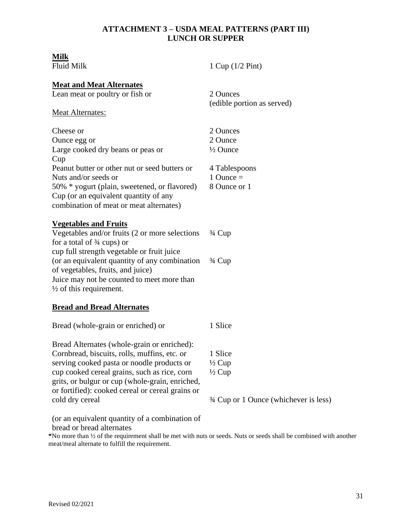#### **ATTACHMENT 3 – USDA MEAL PATTERNS (PART III) LUNCH OR SUPPER**

# **Milk**

| Milk<br><b>Fluid Milk</b>                                                                                                                                                                                                                                                                                                                                             | 1 Cup $(1/2$ Pint)                                                                          |
|-----------------------------------------------------------------------------------------------------------------------------------------------------------------------------------------------------------------------------------------------------------------------------------------------------------------------------------------------------------------------|---------------------------------------------------------------------------------------------|
| <b>Meat and Meat Alternates</b><br>Lean meat or poultry or fish or<br><b>Meat Alternates:</b>                                                                                                                                                                                                                                                                         | 2 Ounces<br>(edible portion as served)                                                      |
| Cheese or<br>Ounce egg or<br>Large cooked dry beans or peas or<br>Cup<br>Peanut butter or other nut or seed butters or<br>Nuts and/or seeds or<br>50% * yogurt (plain, sweetened, or flavored)<br>Cup (or an equivalent quantity of any<br>combination of meat or meat alternates)                                                                                    | 2 Ounces<br>2 Ounce<br>$\frac{1}{2}$ Ounce<br>4 Tablespoons<br>1 Ounce $=$<br>8 Ounce or 1  |
| <b>Vegetables and Fruits</b><br>Vegetables and/or fruits (2 or more selections<br>for a total of $\frac{3}{4}$ cups) or<br>cup full strength vegetable or fruit juice<br>(or an equivalent quantity of any combination<br>of vegetables, fruits, and juice)<br>Juice may not be counted to meet more than<br>$\frac{1}{2}$ of this requirement.                       | $\frac{3}{4}$ Cup<br>$\frac{3}{4}$ Cup                                                      |
| <b>Bread and Bread Alternates</b>                                                                                                                                                                                                                                                                                                                                     |                                                                                             |
| Bread (whole-grain or enriched) or                                                                                                                                                                                                                                                                                                                                    | 1 Slice                                                                                     |
| Bread Alternates (whole-grain or enriched):<br>Cornbread, biscuits, rolls, muffins, etc. or<br>serving cooked pasta or noodle products or<br>cup cooked cereal grains, such as rice, corn<br>grits, or bulgur or cup (whole-grain, enriched,<br>or fortified): cooked cereal or cereal grains or<br>cold dry cereal<br>(or an equivalent quantity of a combination of | 1 Slice<br>$\frac{1}{2}$ Cup<br>$\frac{1}{2}$ Cup<br>3/4 Cup or 1 Ounce (whichever is less) |

bread or bread alternates **\***No more than ½ of the requirement shall be met with nuts or seeds. Nuts or seeds shall be combined with another meat/meal alternate to fulfill the requirement.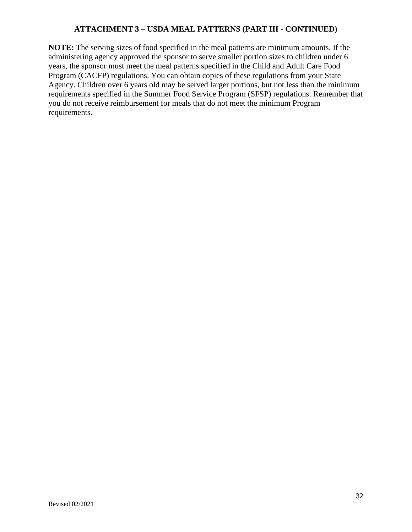# **ATTACHMENT 3 – USDA MEAL PATTERNS (PART III - CONTINUED)**

**NOTE:** The serving sizes of food specified in the meal patterns are minimum amounts. If the administering agency approved the sponsor to serve smaller portion sizes to children under 6 years, the sponsor must meet the meal patterns specified in the Child and Adult Care Food Program (CACFP) regulations. You can obtain copies of these regulations from your State Agency. Children over 6 years old may be served larger portions, but not less than the minimum requirements specified in the Summer Food Service Program (SFSP) regulations. Remember that you do not receive reimbursement for meals that do not meet the minimum Program requirements.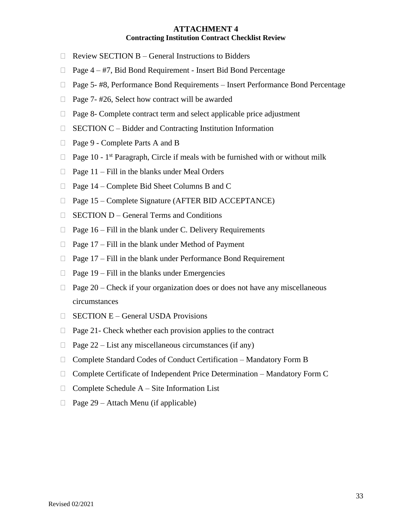#### **ATTACHMENT 4 Contracting Institution Contract Checklist Review**

- $\Box$  Review SECTION B General Instructions to Bidders
- $\Box$  Page 4 #7, Bid Bond Requirement Insert Bid Bond Percentage
- □ Page 5- #8, Performance Bond Requirements Insert Performance Bond Percentage
- $\Box$  Page 7- #26, Select how contract will be awarded
- $\Box$  Page 8- Complete contract term and select applicable price adjustment
- $\Box$  SECTION C Bidder and Contracting Institution Information
- □ Page 9 Complete Parts A and B
- $\Box$  Page 10 1<sup>st</sup> Paragraph, Circle if meals with be furnished with or without milk
- $\Box$  Page 11 Fill in the blanks under Meal Orders
- $\Box$  Page 14 Complete Bid Sheet Columns B and C
- $\Box$  Page 15 Complete Signature (AFTER BID ACCEPTANCE)
- $\Box$  SECTION D General Terms and Conditions
- $\Box$  Page 16 Fill in the blank under C. Delivery Requirements
- $\Box$  Page 17 Fill in the blank under Method of Payment
- $\Box$  Page 17 Fill in the blank under Performance Bond Requirement
- $\Box$  Page 19 Fill in the blanks under Emergencies
- $\Box$  Page 20 Check if your organization does or does not have any miscellaneous circumstances
- $\Box$  SECTION E General USDA Provisions
- $\Box$  Page 21- Check whether each provision applies to the contract
- $\Box$  Page 22 List any miscellaneous circumstances (if any)
- □ Complete Standard Codes of Conduct Certification Mandatory Form B
- $\Box$  Complete Certificate of Independent Price Determination Mandatory Form C
- $\Box$  Complete Schedule A Site Information List
- $\Box$  Page 29 Attach Menu (if applicable)